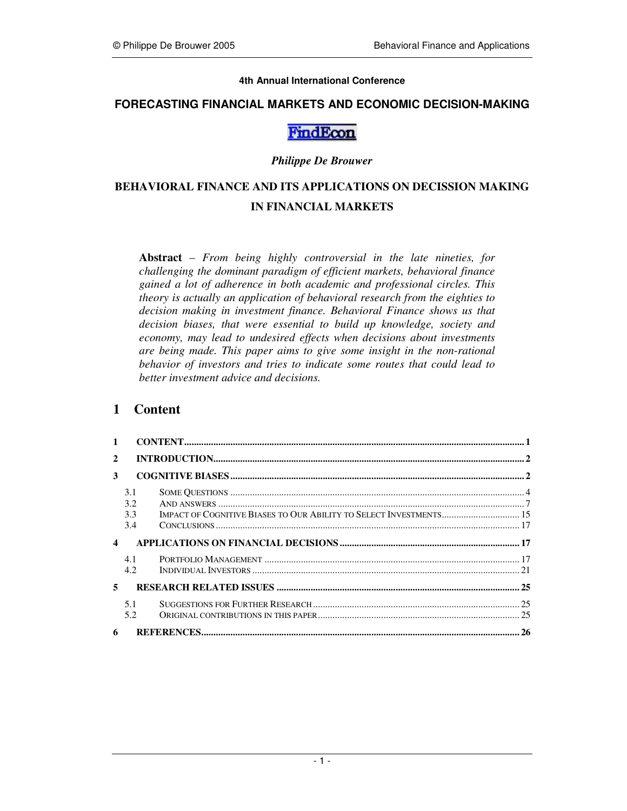#### **4th Annual International Conference**

## **FORECASTING FINANCIAL MARKETS AND ECONOMIC DECISION-MAKING**

# FindEcon

#### *Philippe De Brouwer*

# **BEHAVIORAL FINANCE AND ITS APPLICATIONS ON DECISSION MAKING IN FINANCIAL MARKETS**

**Abstract** – *From being highly controversial in the late nineties, for challenging the dominant paradigm of efficient markets, behavioral finance gained a lot of adherence in both academic and professional circles. This theory is actually an application of behavioral research from the eighties to decision making in investment finance. Behavioral Finance shows us that decision biases, that were essential to build up knowledge, society and economy, may lead to undesired effects when decisions about investments are being made. This paper aims to give some insight in the non-rational behavior of investors and tries to indicate some routes that could lead to better investment advice and decisions.* 

# **1 Content**

| $\mathbf{1}$     |                          |                                                                    |  |
|------------------|--------------------------|--------------------------------------------------------------------|--|
| $\mathbf{2}$     |                          |                                                                    |  |
| 3                |                          |                                                                    |  |
|                  | 3.1<br>3.2<br>3.3<br>3.4 | IMPACT OF COGNITIVE BIASES TO OUR ABILITY TO SELECT INVESTMENTS 15 |  |
| $\boldsymbol{4}$ |                          |                                                                    |  |
|                  | 4.1<br>4.2.              |                                                                    |  |
| 5.               |                          |                                                                    |  |
|                  | 5.1<br>5.2               |                                                                    |  |
| 6                |                          |                                                                    |  |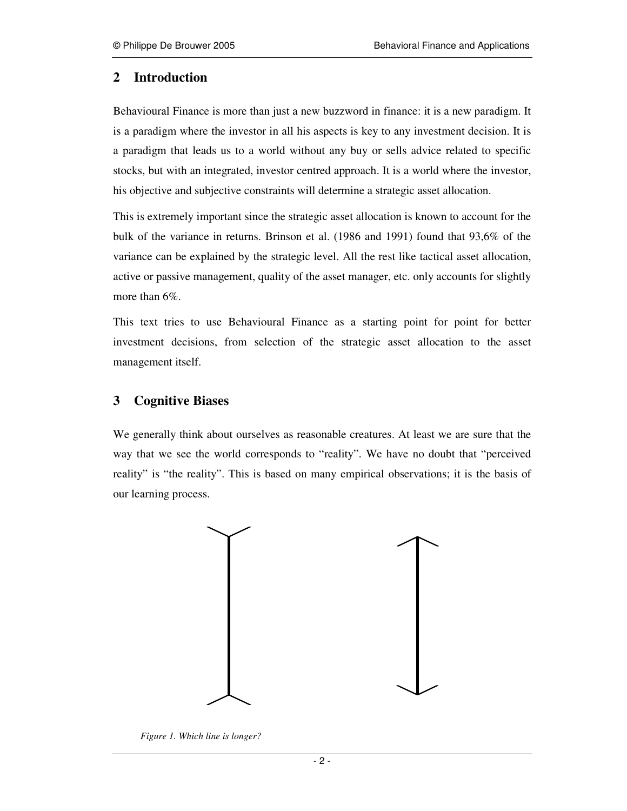# **2 Introduction**

Behavioural Finance is more than just a new buzzword in finance: it is a new paradigm. It is a paradigm where the investor in all his aspects is key to any investment decision. It is a paradigm that leads us to a world without any buy or sells advice related to specific stocks, but with an integrated, investor centred approach. It is a world where the investor, his objective and subjective constraints will determine a strategic asset allocation.

This is extremely important since the strategic asset allocation is known to account for the bulk of the variance in returns. Brinson et al. (1986 and 1991) found that 93,6% of the variance can be explained by the strategic level. All the rest like tactical asset allocation, active or passive management, quality of the asset manager, etc. only accounts for slightly more than 6%.

This text tries to use Behavioural Finance as a starting point for point for better investment decisions, from selection of the strategic asset allocation to the asset management itself.

# **3 Cognitive Biases**

We generally think about ourselves as reasonable creatures. At least we are sure that the way that we see the world corresponds to "reality". We have no doubt that "perceived reality" is "the reality". This is based on many empirical observations; it is the basis of our learning process.



*Figure 1. Which line is longer?*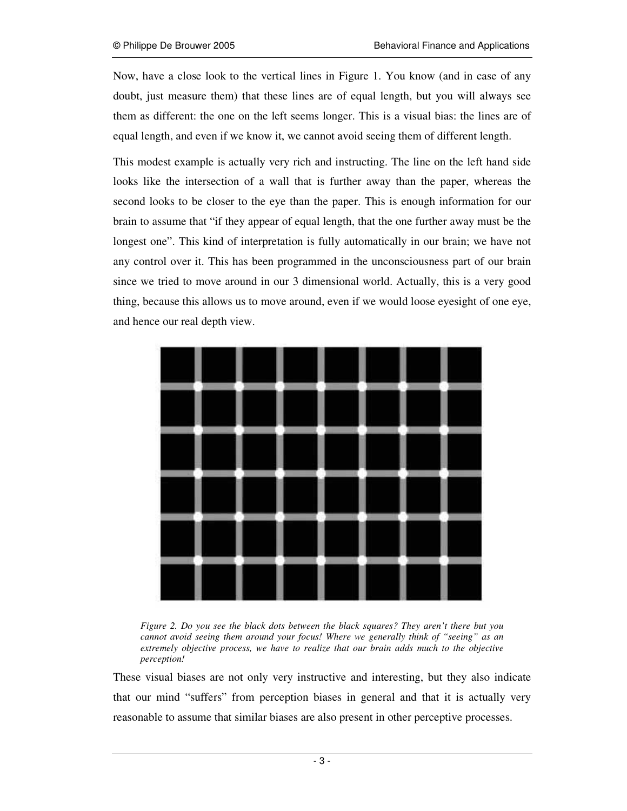Now, have a close look to the vertical lines in Figure 1. You know (and in case of any doubt, just measure them) that these lines are of equal length, but you will always see them as different: the one on the left seems longer. This is a visual bias: the lines are of equal length, and even if we know it, we cannot avoid seeing them of different length.

This modest example is actually very rich and instructing. The line on the left hand side looks like the intersection of a wall that is further away than the paper, whereas the second looks to be closer to the eye than the paper. This is enough information for our brain to assume that "if they appear of equal length, that the one further away must be the longest one". This kind of interpretation is fully automatically in our brain; we have not any control over it. This has been programmed in the unconsciousness part of our brain since we tried to move around in our 3 dimensional world. Actually, this is a very good thing, because this allows us to move around, even if we would loose eyesight of one eye, and hence our real depth view.



*Figure 2. Do you see the black dots between the black squares? They aren't there but you cannot avoid seeing them around your focus! Where we generally think of "seeing" as an extremely objective process, we have to realize that our brain adds much to the objective perception!* 

These visual biases are not only very instructive and interesting, but they also indicate that our mind "suffers" from perception biases in general and that it is actually very reasonable to assume that similar biases are also present in other perceptive processes.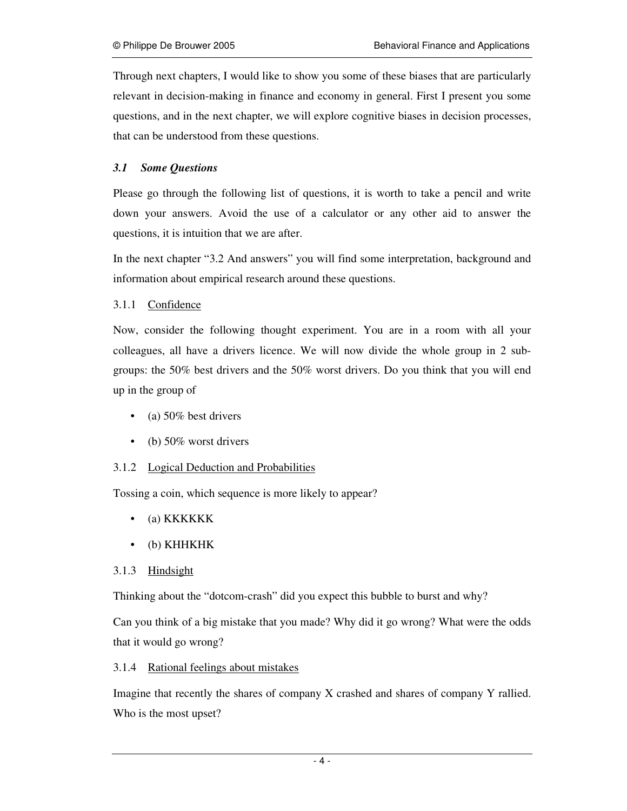Through next chapters, I would like to show you some of these biases that are particularly relevant in decision-making in finance and economy in general. First I present you some questions, and in the next chapter, we will explore cognitive biases in decision processes, that can be understood from these questions.

# *3.1 Some Questions*

Please go through the following list of questions, it is worth to take a pencil and write down your answers. Avoid the use of a calculator or any other aid to answer the questions, it is intuition that we are after.

In the next chapter "3.2 And answers" you will find some interpretation, background and information about empirical research around these questions.

#### 3.1.1 Confidence

Now, consider the following thought experiment. You are in a room with all your colleagues, all have a drivers licence. We will now divide the whole group in 2 subgroups: the 50% best drivers and the 50% worst drivers. Do you think that you will end up in the group of

- (a)  $50\%$  best drivers
- (b)  $50\%$  worst drivers

#### 3.1.2 Logical Deduction and Probabilities

Tossing a coin, which sequence is more likely to appear?

- (a) KKKKKK
- (b) KHHKHK

#### 3.1.3 Hindsight

Thinking about the "dotcom-crash" did you expect this bubble to burst and why?

Can you think of a big mistake that you made? Why did it go wrong? What were the odds that it would go wrong?

#### 3.1.4 Rational feelings about mistakes

Imagine that recently the shares of company X crashed and shares of company Y rallied. Who is the most upset?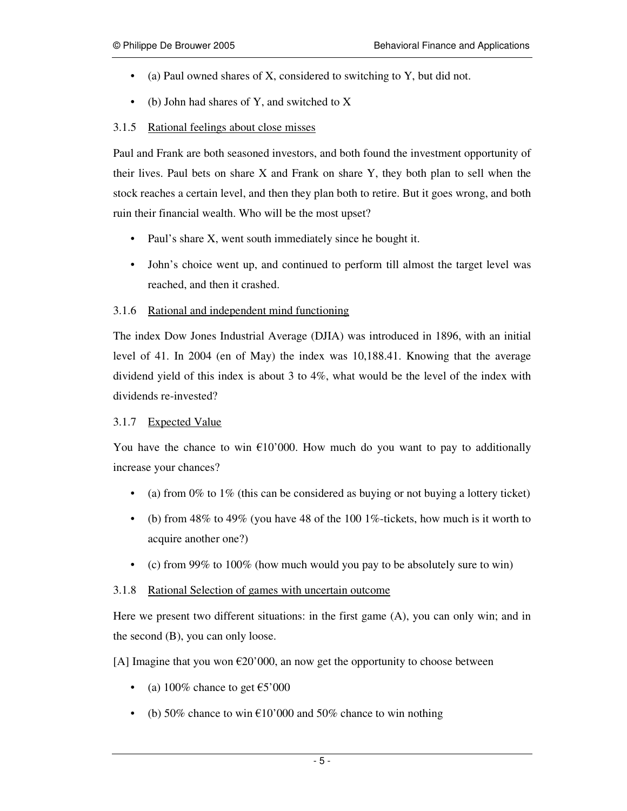- (a) Paul owned shares of X, considered to switching to Y, but did not.
- (b) John had shares of Y, and switched to X

# 3.1.5 Rational feelings about close misses

Paul and Frank are both seasoned investors, and both found the investment opportunity of their lives. Paul bets on share  $X$  and Frank on share  $Y$ , they both plan to sell when the stock reaches a certain level, and then they plan both to retire. But it goes wrong, and both ruin their financial wealth. Who will be the most upset?

- Paul's share X, went south immediately since he bought it.
- John's choice went up, and continued to perform till almost the target level was reached, and then it crashed.

# 3.1.6 Rational and independent mind functioning

The index Dow Jones Industrial Average (DJIA) was introduced in 1896, with an initial level of 41. In 2004 (en of May) the index was 10,188.41. Knowing that the average dividend yield of this index is about 3 to 4%, what would be the level of the index with dividends re-invested?

#### 3.1.7 Expected Value

You have the chance to win  $\epsilon$ 10'000. How much do you want to pay to additionally increase your chances?

- (a) from  $0\%$  to  $1\%$  (this can be considered as buying or not buying a lottery ticket)
- (b) from  $48\%$  to  $49\%$  (you have  $48$  of the 100 1%-tickets, how much is it worth to acquire another one?)
- (c) from  $99\%$  to  $100\%$  (how much would you pay to be absolutely sure to win)

# 3.1.8 Rational Selection of games with uncertain outcome

Here we present two different situations: in the first game (A), you can only win; and in the second (B), you can only loose.

[A] Imagine that you won  $\epsilon$ 20'000, an now get the opportunity to choose between

- (a) 100% chance to get  $\text{\textsterling}5'000$
- (b) 50% chance to win  $\epsilon$ 10'000 and 50% chance to win nothing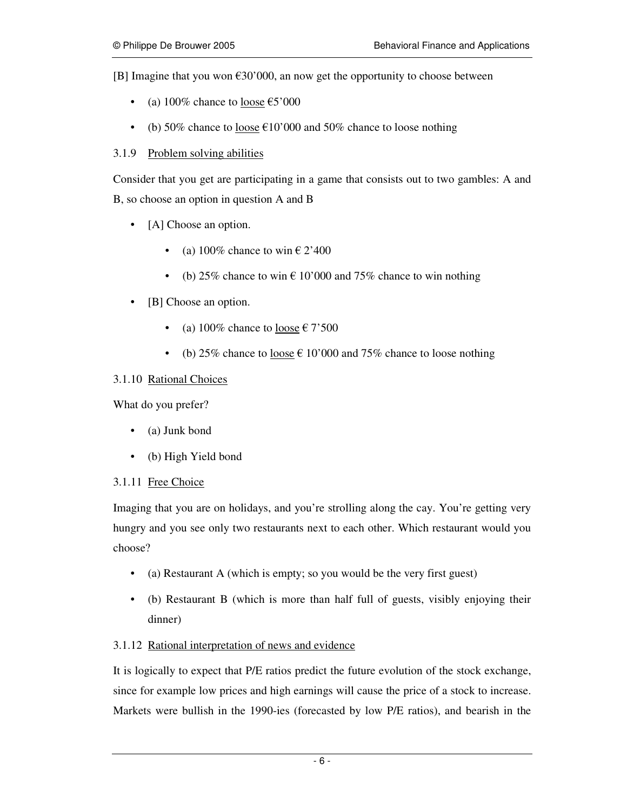[B] Imagine that you won  $\epsilon$ 30'000, an now get the opportunity to choose between

- (a)  $100\%$  chance to loose  $\text{\textsterling}5'000$
- (b) 50% chance to <u>loose</u>  $\epsilon$ 10'000 and 50% chance to loose nothing

#### 3.1.9 Problem solving abilities

Consider that you get are participating in a game that consists out to two gambles: A and B, so choose an option in question A and B

- [A] Choose an option.
	- (a) 100% chance to win  $\epsilon$  2'400
	- (b) 25% chance to win  $\epsilon$  10'000 and 75% chance to win nothing
- [B] Choose an option.
	- (a) 100% chance to loose  $\epsilon$  7'500
	- (b) 25% chance to <u>loose</u>  $\epsilon$  10'000 and 75% chance to loose nothing

#### 3.1.10 Rational Choices

What do you prefer?

- (a) Junk bond
- (b) High Yield bond

#### 3.1.11 Free Choice

Imaging that you are on holidays, and you're strolling along the cay. You're getting very hungry and you see only two restaurants next to each other. Which restaurant would you choose?

- (a) Restaurant A (which is empty; so you would be the very first guest)
- (b) Restaurant B (which is more than half full of guests, visibly enjoying their dinner)

#### 3.1.12 Rational interpretation of news and evidence

It is logically to expect that P/E ratios predict the future evolution of the stock exchange, since for example low prices and high earnings will cause the price of a stock to increase. Markets were bullish in the 1990-ies (forecasted by low P/E ratios), and bearish in the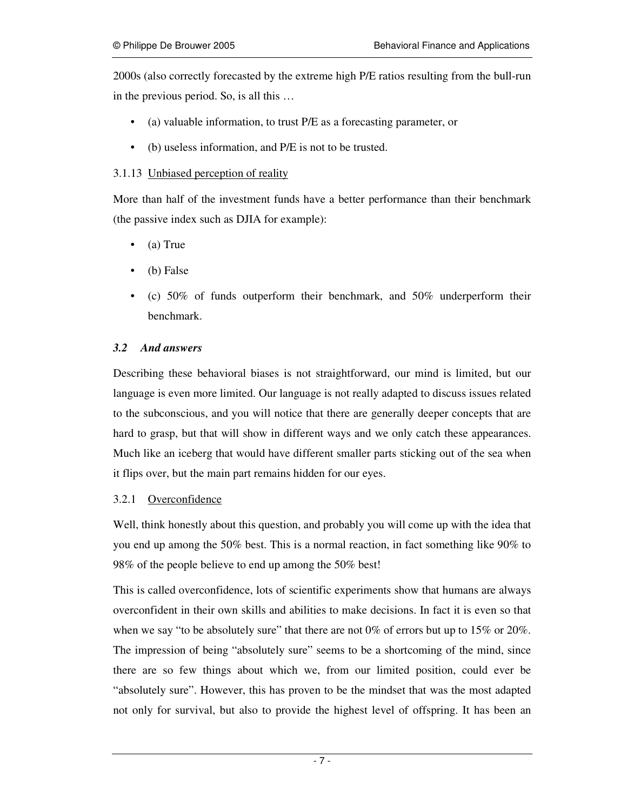2000s (also correctly forecasted by the extreme high P/E ratios resulting from the bull-run in the previous period. So, is all this …

- (a) valuable information, to trust P/E as a forecasting parameter, or
- (b) useless information, and P/E is not to be trusted.

#### 3.1.13 Unbiased perception of reality

More than half of the investment funds have a better performance than their benchmark (the passive index such as DJIA for example):

- (a) True
- (b) False
- (c)  $50\%$  of funds outperform their benchmark, and  $50\%$  underperform their benchmark.

# *3.2 And answers*

Describing these behavioral biases is not straightforward, our mind is limited, but our language is even more limited. Our language is not really adapted to discuss issues related to the subconscious, and you will notice that there are generally deeper concepts that are hard to grasp, but that will show in different ways and we only catch these appearances. Much like an iceberg that would have different smaller parts sticking out of the sea when it flips over, but the main part remains hidden for our eyes.

#### 3.2.1 Overconfidence

Well, think honestly about this question, and probably you will come up with the idea that you end up among the 50% best. This is a normal reaction, in fact something like 90% to 98% of the people believe to end up among the 50% best!

This is called overconfidence, lots of scientific experiments show that humans are always overconfident in their own skills and abilities to make decisions. In fact it is even so that when we say "to be absolutely sure" that there are not  $0\%$  of errors but up to  $15\%$  or  $20\%$ . The impression of being "absolutely sure" seems to be a shortcoming of the mind, since there are so few things about which we, from our limited position, could ever be "absolutely sure". However, this has proven to be the mindset that was the most adapted not only for survival, but also to provide the highest level of offspring. It has been an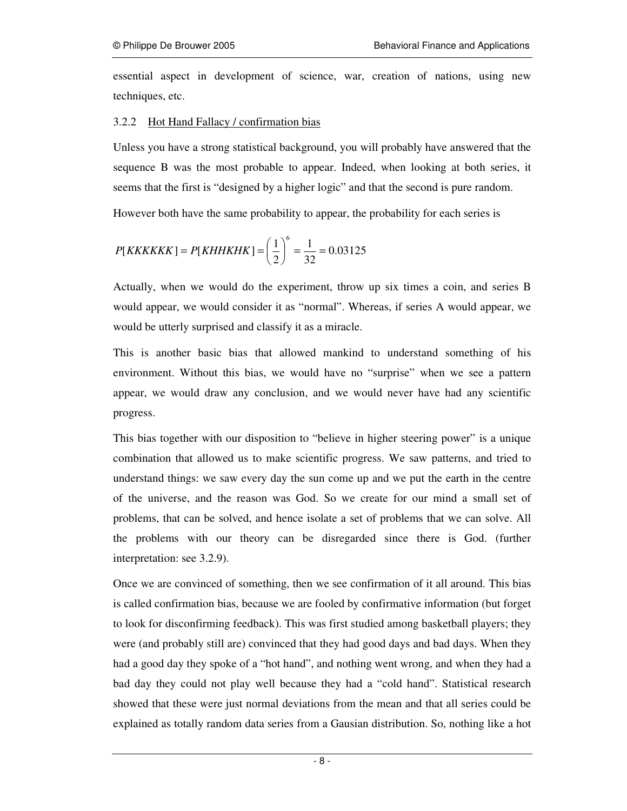essential aspect in development of science, war, creation of nations, using new techniques, etc.

#### 3.2.2 Hot Hand Fallacy / confirmation bias

Unless you have a strong statistical background, you will probably have answered that the sequence B was the most probable to appear. Indeed, when looking at both series, it seems that the first is "designed by a higher logic" and that the second is pure random.

However both have the same probability to appear, the probability for each series is

$$
P[KKKKKK] = P[KHHKHK] = \left(\frac{1}{2}\right)^6 = \frac{1}{32} = 0.03125
$$

Actually, when we would do the experiment, throw up six times a coin, and series B would appear, we would consider it as "normal". Whereas, if series A would appear, we would be utterly surprised and classify it as a miracle.

This is another basic bias that allowed mankind to understand something of his environment. Without this bias, we would have no "surprise" when we see a pattern appear, we would draw any conclusion, and we would never have had any scientific progress.

This bias together with our disposition to "believe in higher steering power" is a unique combination that allowed us to make scientific progress. We saw patterns, and tried to understand things: we saw every day the sun come up and we put the earth in the centre of the universe, and the reason was God. So we create for our mind a small set of problems, that can be solved, and hence isolate a set of problems that we can solve. All the problems with our theory can be disregarded since there is God. (further interpretation: see 3.2.9).

Once we are convinced of something, then we see confirmation of it all around. This bias is called confirmation bias, because we are fooled by confirmative information (but forget to look for disconfirming feedback). This was first studied among basketball players; they were (and probably still are) convinced that they had good days and bad days. When they had a good day they spoke of a "hot hand", and nothing went wrong, and when they had a bad day they could not play well because they had a "cold hand". Statistical research showed that these were just normal deviations from the mean and that all series could be explained as totally random data series from a Gausian distribution. So, nothing like a hot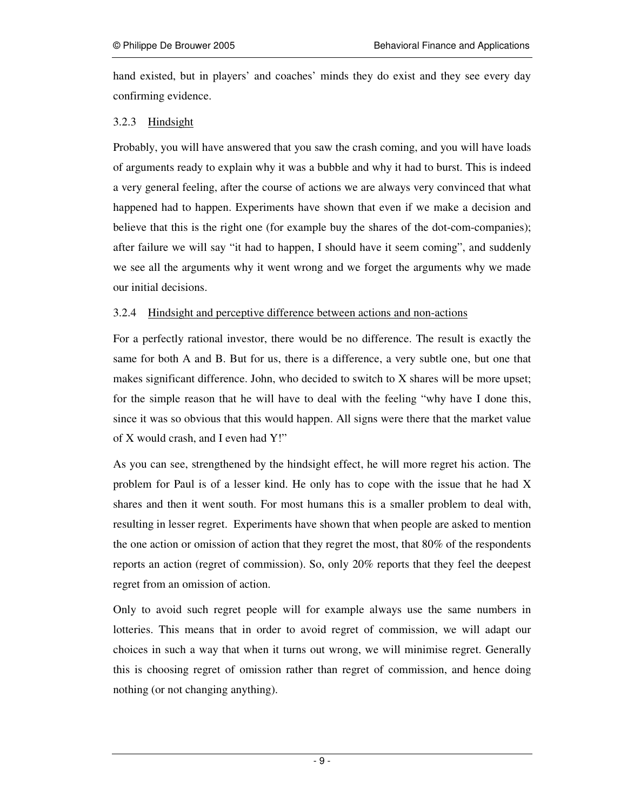hand existed, but in players' and coaches' minds they do exist and they see every day confirming evidence.

#### 3.2.3 Hindsight

Probably, you will have answered that you saw the crash coming, and you will have loads of arguments ready to explain why it was a bubble and why it had to burst. This is indeed a very general feeling, after the course of actions we are always very convinced that what happened had to happen. Experiments have shown that even if we make a decision and believe that this is the right one (for example buy the shares of the dot-com-companies); after failure we will say "it had to happen, I should have it seem coming", and suddenly we see all the arguments why it went wrong and we forget the arguments why we made our initial decisions.

#### 3.2.4 Hindsight and perceptive difference between actions and non-actions

For a perfectly rational investor, there would be no difference. The result is exactly the same for both A and B. But for us, there is a difference, a very subtle one, but one that makes significant difference. John, who decided to switch to X shares will be more upset; for the simple reason that he will have to deal with the feeling "why have I done this, since it was so obvious that this would happen. All signs were there that the market value of X would crash, and I even had Y!"

As you can see, strengthened by the hindsight effect, he will more regret his action. The problem for Paul is of a lesser kind. He only has to cope with the issue that he had X shares and then it went south. For most humans this is a smaller problem to deal with, resulting in lesser regret. Experiments have shown that when people are asked to mention the one action or omission of action that they regret the most, that 80% of the respondents reports an action (regret of commission). So, only 20% reports that they feel the deepest regret from an omission of action.

Only to avoid such regret people will for example always use the same numbers in lotteries. This means that in order to avoid regret of commission, we will adapt our choices in such a way that when it turns out wrong, we will minimise regret. Generally this is choosing regret of omission rather than regret of commission, and hence doing nothing (or not changing anything).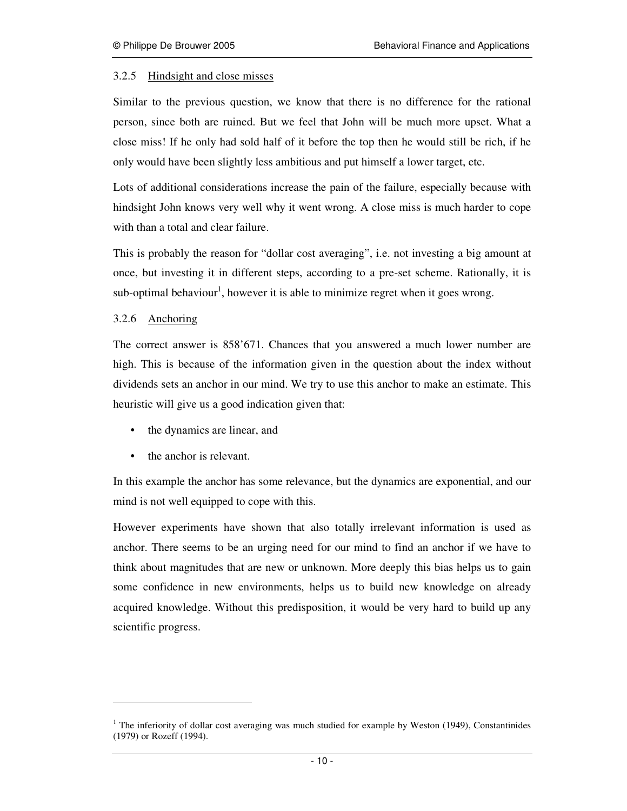#### 3.2.5 Hindsight and close misses

Similar to the previous question, we know that there is no difference for the rational person, since both are ruined. But we feel that John will be much more upset. What a close miss! If he only had sold half of it before the top then he would still be rich, if he only would have been slightly less ambitious and put himself a lower target, etc.

Lots of additional considerations increase the pain of the failure, especially because with hindsight John knows very well why it went wrong. A close miss is much harder to cope with than a total and clear failure.

This is probably the reason for "dollar cost averaging", i.e. not investing a big amount at once, but investing it in different steps, according to a pre-set scheme. Rationally, it is sub-optimal behaviour<sup>1</sup>, however it is able to minimize regret when it goes wrong.

#### 3.2.6 Anchoring

-

The correct answer is 858'671. Chances that you answered a much lower number are high. This is because of the information given in the question about the index without dividends sets an anchor in our mind. We try to use this anchor to make an estimate. This heuristic will give us a good indication given that:

- the dynamics are linear, and
- the anchor is relevant.

In this example the anchor has some relevance, but the dynamics are exponential, and our mind is not well equipped to cope with this.

However experiments have shown that also totally irrelevant information is used as anchor. There seems to be an urging need for our mind to find an anchor if we have to think about magnitudes that are new or unknown. More deeply this bias helps us to gain some confidence in new environments, helps us to build new knowledge on already acquired knowledge. Without this predisposition, it would be very hard to build up any scientific progress.

 $1$  The inferiority of dollar cost averaging was much studied for example by Weston (1949), Constantinides (1979) or Rozeff (1994).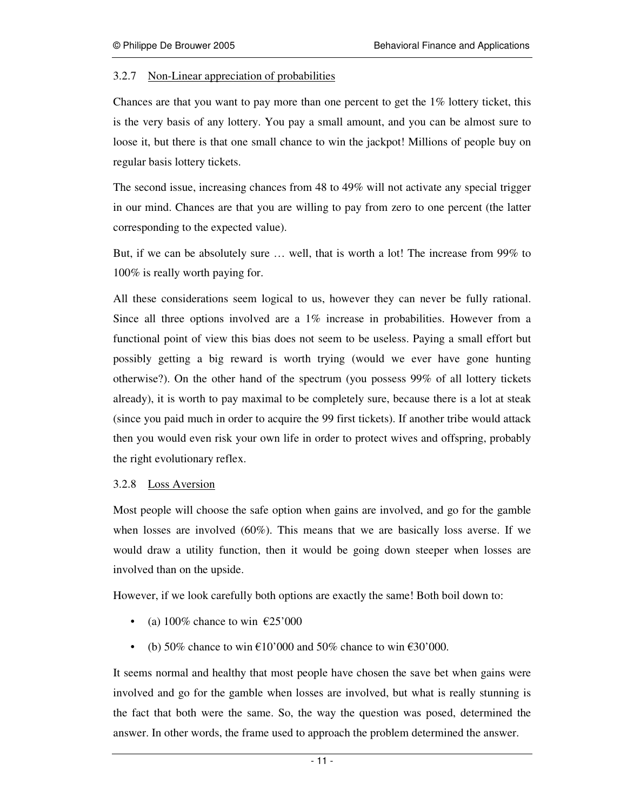#### 3.2.7 Non-Linear appreciation of probabilities

Chances are that you want to pay more than one percent to get the 1% lottery ticket, this is the very basis of any lottery. You pay a small amount, and you can be almost sure to loose it, but there is that one small chance to win the jackpot! Millions of people buy on regular basis lottery tickets.

The second issue, increasing chances from 48 to 49% will not activate any special trigger in our mind. Chances are that you are willing to pay from zero to one percent (the latter corresponding to the expected value).

But, if we can be absolutely sure … well, that is worth a lot! The increase from 99% to 100% is really worth paying for.

All these considerations seem logical to us, however they can never be fully rational. Since all three options involved are a 1% increase in probabilities. However from a functional point of view this bias does not seem to be useless. Paying a small effort but possibly getting a big reward is worth trying (would we ever have gone hunting otherwise?). On the other hand of the spectrum (you possess 99% of all lottery tickets already), it is worth to pay maximal to be completely sure, because there is a lot at steak (since you paid much in order to acquire the 99 first tickets). If another tribe would attack then you would even risk your own life in order to protect wives and offspring, probably the right evolutionary reflex.

#### 3.2.8 Loss Aversion

Most people will choose the safe option when gains are involved, and go for the gamble when losses are involved (60%). This means that we are basically loss averse. If we would draw a utility function, then it would be going down steeper when losses are involved than on the upside.

However, if we look carefully both options are exactly the same! Both boil down to:

- (a) 100% chance to win  $\epsilon$ 25'000
- (b) 50% chance to win  $\epsilon$ 10'000 and 50% chance to win  $\epsilon$ 30'000.

It seems normal and healthy that most people have chosen the save bet when gains were involved and go for the gamble when losses are involved, but what is really stunning is the fact that both were the same. So, the way the question was posed, determined the answer. In other words, the frame used to approach the problem determined the answer.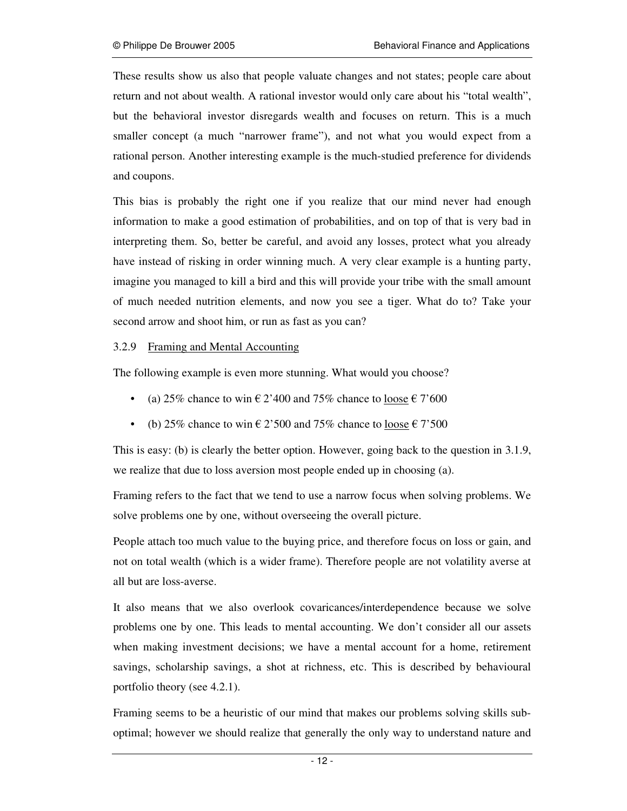These results show us also that people valuate changes and not states; people care about return and not about wealth. A rational investor would only care about his "total wealth", but the behavioral investor disregards wealth and focuses on return. This is a much smaller concept (a much "narrower frame"), and not what you would expect from a rational person. Another interesting example is the much-studied preference for dividends and coupons.

This bias is probably the right one if you realize that our mind never had enough information to make a good estimation of probabilities, and on top of that is very bad in interpreting them. So, better be careful, and avoid any losses, protect what you already have instead of risking in order winning much. A very clear example is a hunting party, imagine you managed to kill a bird and this will provide your tribe with the small amount of much needed nutrition elements, and now you see a tiger. What do to? Take your second arrow and shoot him, or run as fast as you can?

#### 3.2.9 Framing and Mental Accounting

The following example is even more stunning. What would you choose?

- (a) 25% chance to win  $\epsilon$  2'400 and 75% chance to <u>loose</u>  $\epsilon$  7'600
- (b) 25% chance to win  $\epsilon$  2'500 and 75% chance to loose  $\epsilon$  7'500

This is easy: (b) is clearly the better option. However, going back to the question in 3.1.9, we realize that due to loss aversion most people ended up in choosing (a).

Framing refers to the fact that we tend to use a narrow focus when solving problems. We solve problems one by one, without overseeing the overall picture.

People attach too much value to the buying price, and therefore focus on loss or gain, and not on total wealth (which is a wider frame). Therefore people are not volatility averse at all but are loss-averse.

It also means that we also overlook covaricances/interdependence because we solve problems one by one. This leads to mental accounting. We don't consider all our assets when making investment decisions; we have a mental account for a home, retirement savings, scholarship savings, a shot at richness, etc. This is described by behavioural portfolio theory (see 4.2.1).

Framing seems to be a heuristic of our mind that makes our problems solving skills suboptimal; however we should realize that generally the only way to understand nature and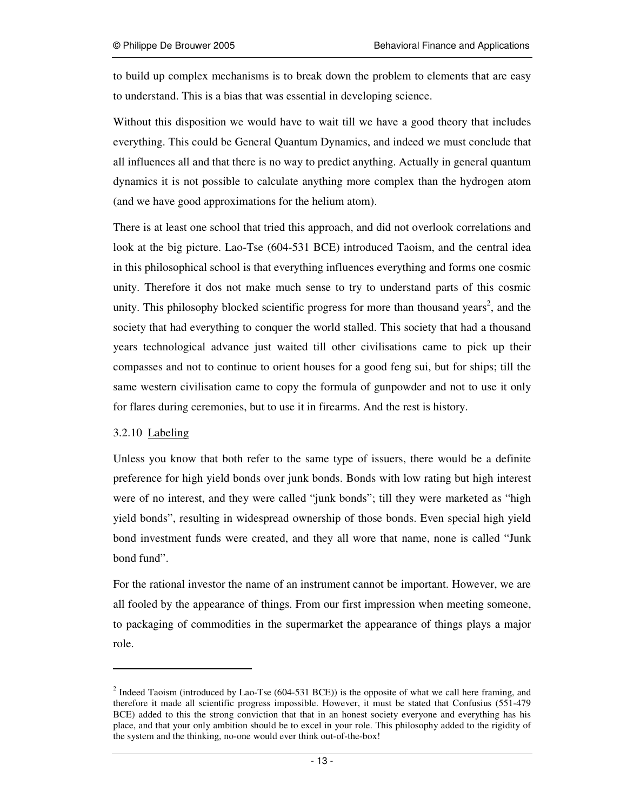to build up complex mechanisms is to break down the problem to elements that are easy to understand. This is a bias that was essential in developing science.

Without this disposition we would have to wait till we have a good theory that includes everything. This could be General Quantum Dynamics, and indeed we must conclude that all influences all and that there is no way to predict anything. Actually in general quantum dynamics it is not possible to calculate anything more complex than the hydrogen atom (and we have good approximations for the helium atom).

There is at least one school that tried this approach, and did not overlook correlations and look at the big picture. Lao-Tse (604-531 BCE) introduced Taoism, and the central idea in this philosophical school is that everything influences everything and forms one cosmic unity. Therefore it dos not make much sense to try to understand parts of this cosmic unity. This philosophy blocked scientific progress for more than thousand years<sup>2</sup>, and the society that had everything to conquer the world stalled. This society that had a thousand years technological advance just waited till other civilisations came to pick up their compasses and not to continue to orient houses for a good feng sui, but for ships; till the same western civilisation came to copy the formula of gunpowder and not to use it only for flares during ceremonies, but to use it in firearms. And the rest is history.

#### 3.2.10 Labeling

-

Unless you know that both refer to the same type of issuers, there would be a definite preference for high yield bonds over junk bonds. Bonds with low rating but high interest were of no interest, and they were called "junk bonds"; till they were marketed as "high yield bonds", resulting in widespread ownership of those bonds. Even special high yield bond investment funds were created, and they all wore that name, none is called "Junk bond fund".

For the rational investor the name of an instrument cannot be important. However, we are all fooled by the appearance of things. From our first impression when meeting someone, to packaging of commodities in the supermarket the appearance of things plays a major role.

<sup>&</sup>lt;sup>2</sup> Indeed Taoism (introduced by Lao-Tse (604-531 BCE)) is the opposite of what we call here framing, and therefore it made all scientific progress impossible. However, it must be stated that Confusius (551-479 BCE) added to this the strong conviction that that in an honest society everyone and everything has his place, and that your only ambition should be to excel in your role. This philosophy added to the rigidity of the system and the thinking, no-one would ever think out-of-the-box!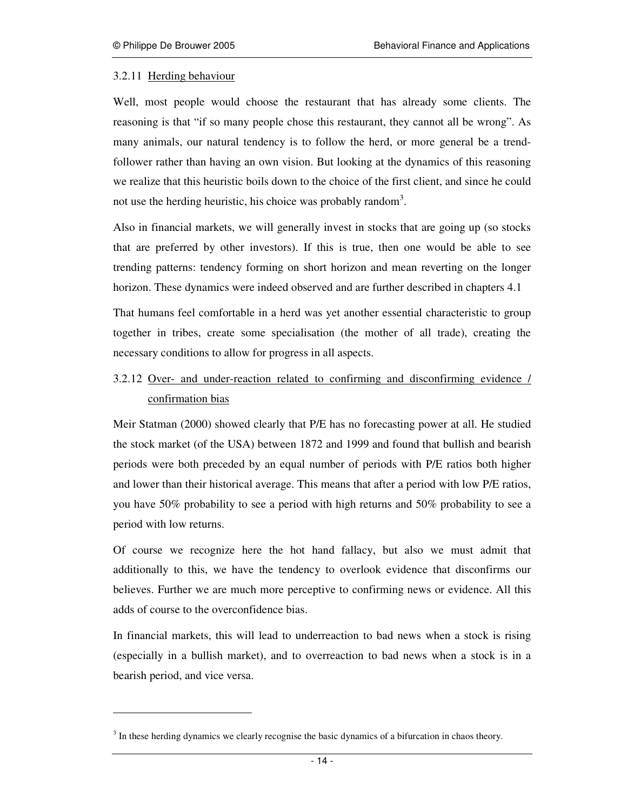#### 3.2.11 Herding behaviour

-

Well, most people would choose the restaurant that has already some clients. The reasoning is that "if so many people chose this restaurant, they cannot all be wrong". As many animals, our natural tendency is to follow the herd, or more general be a trendfollower rather than having an own vision. But looking at the dynamics of this reasoning we realize that this heuristic boils down to the choice of the first client, and since he could not use the herding heuristic, his choice was probably random<sup>3</sup>.

Also in financial markets, we will generally invest in stocks that are going up (so stocks that are preferred by other investors). If this is true, then one would be able to see trending patterns: tendency forming on short horizon and mean reverting on the longer horizon. These dynamics were indeed observed and are further described in chapters 4.1

That humans feel comfortable in a herd was yet another essential characteristic to group together in tribes, create some specialisation (the mother of all trade), creating the necessary conditions to allow for progress in all aspects.

# 3.2.12 Over- and under-reaction related to confirming and disconfirming evidence / confirmation bias

Meir Statman (2000) showed clearly that P/E has no forecasting power at all. He studied the stock market (of the USA) between 1872 and 1999 and found that bullish and bearish periods were both preceded by an equal number of periods with P/E ratios both higher and lower than their historical average. This means that after a period with low P/E ratios, you have 50% probability to see a period with high returns and 50% probability to see a period with low returns.

Of course we recognize here the hot hand fallacy, but also we must admit that additionally to this, we have the tendency to overlook evidence that disconfirms our believes. Further we are much more perceptive to confirming news or evidence. All this adds of course to the overconfidence bias.

In financial markets, this will lead to underreaction to bad news when a stock is rising (especially in a bullish market), and to overreaction to bad news when a stock is in a bearish period, and vice versa.

<sup>&</sup>lt;sup>3</sup> In these herding dynamics we clearly recognise the basic dynamics of a bifurcation in chaos theory.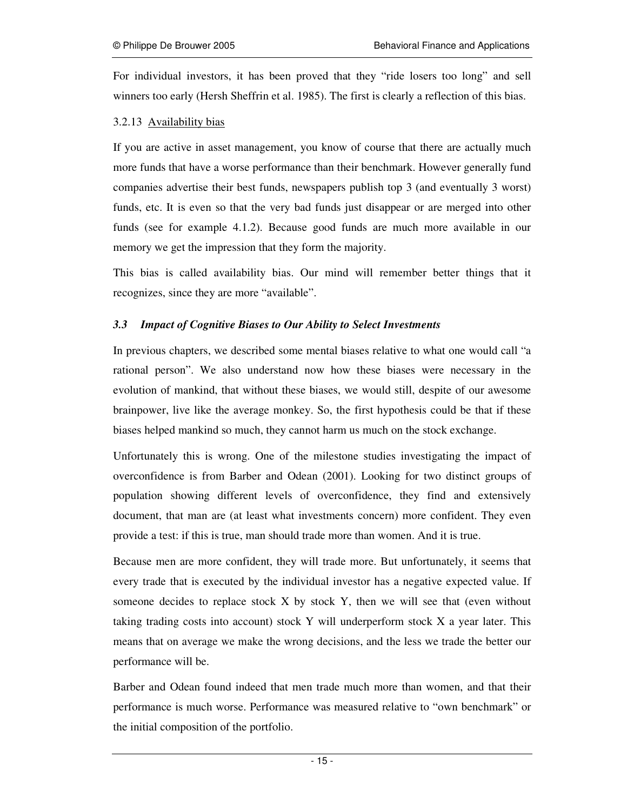For individual investors, it has been proved that they "ride losers too long" and sell winners too early (Hersh Sheffrin et al. 1985). The first is clearly a reflection of this bias.

#### 3.2.13 Availability bias

If you are active in asset management, you know of course that there are actually much more funds that have a worse performance than their benchmark. However generally fund companies advertise their best funds, newspapers publish top 3 (and eventually 3 worst) funds, etc. It is even so that the very bad funds just disappear or are merged into other funds (see for example 4.1.2). Because good funds are much more available in our memory we get the impression that they form the majority.

This bias is called availability bias. Our mind will remember better things that it recognizes, since they are more "available".

#### *3.3 Impact of Cognitive Biases to Our Ability to Select Investments*

In previous chapters, we described some mental biases relative to what one would call "a rational person". We also understand now how these biases were necessary in the evolution of mankind, that without these biases, we would still, despite of our awesome brainpower, live like the average monkey. So, the first hypothesis could be that if these biases helped mankind so much, they cannot harm us much on the stock exchange.

Unfortunately this is wrong. One of the milestone studies investigating the impact of overconfidence is from Barber and Odean (2001). Looking for two distinct groups of population showing different levels of overconfidence, they find and extensively document, that man are (at least what investments concern) more confident. They even provide a test: if this is true, man should trade more than women. And it is true.

Because men are more confident, they will trade more. But unfortunately, it seems that every trade that is executed by the individual investor has a negative expected value. If someone decides to replace stock  $X$  by stock  $Y$ , then we will see that (even without taking trading costs into account) stock Y will underperform stock X a year later. This means that on average we make the wrong decisions, and the less we trade the better our performance will be.

Barber and Odean found indeed that men trade much more than women, and that their performance is much worse. Performance was measured relative to "own benchmark" or the initial composition of the portfolio.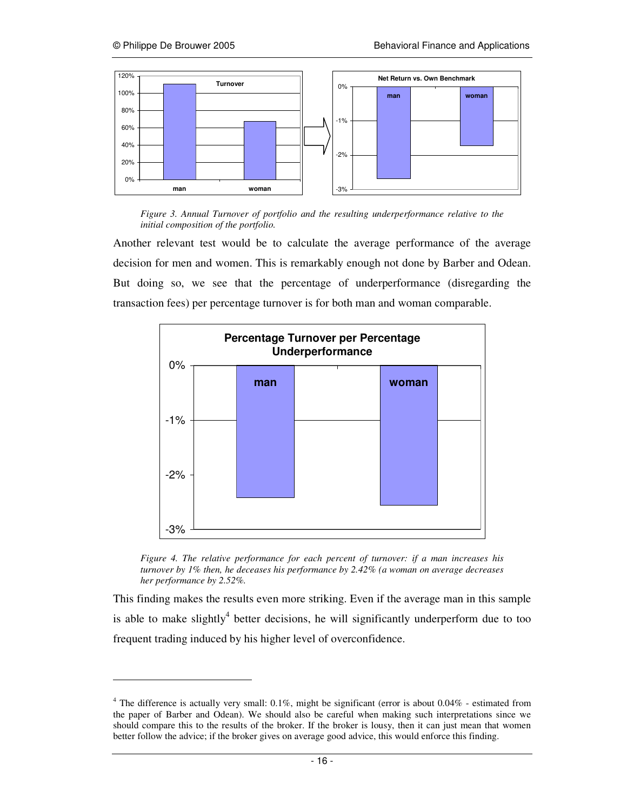-



*Figure 3. Annual Turnover of portfolio and the resulting underperformance relative to the initial composition of the portfolio.* 

Another relevant test would be to calculate the average performance of the average decision for men and women. This is remarkably enough not done by Barber and Odean. But doing so, we see that the percentage of underperformance (disregarding the transaction fees) per percentage turnover is for both man and woman comparable.



*Figure 4. The relative performance for each percent of turnover: if a man increases his turnover by 1% then, he deceases his performance by 2.42% (a woman on average decreases her performance by 2.52%.* 

This finding makes the results even more striking. Even if the average man in this sample is able to make slightly<sup>4</sup> better decisions, he will significantly underperform due to too frequent trading induced by his higher level of overconfidence.

<sup>&</sup>lt;sup>4</sup> The difference is actually very small:  $0.1\%$ , might be significant (error is about  $0.04\%$  - estimated from the paper of Barber and Odean). We should also be careful when making such interpretations since we should compare this to the results of the broker. If the broker is lousy, then it can just mean that women better follow the advice; if the broker gives on average good advice, this would enforce this finding.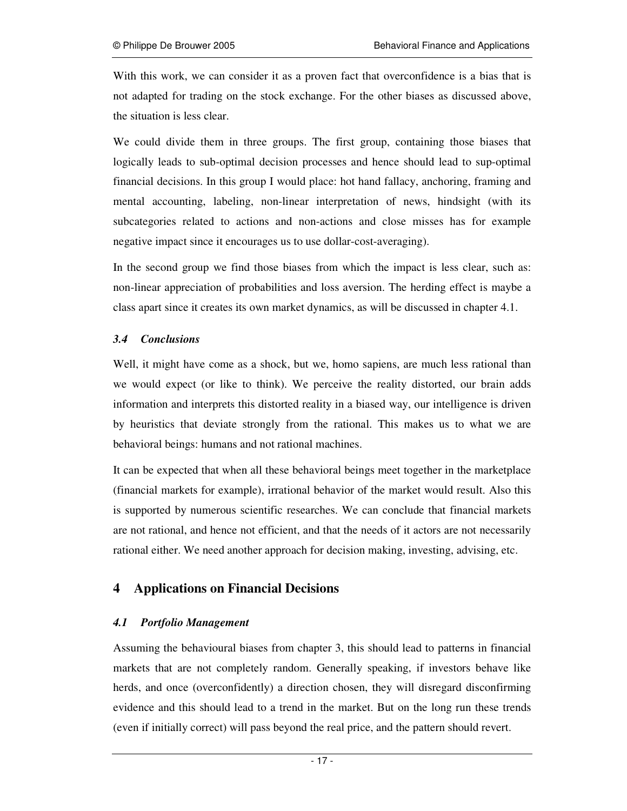With this work, we can consider it as a proven fact that overconfidence is a bias that is not adapted for trading on the stock exchange. For the other biases as discussed above, the situation is less clear.

We could divide them in three groups. The first group, containing those biases that logically leads to sub-optimal decision processes and hence should lead to sup-optimal financial decisions. In this group I would place: hot hand fallacy, anchoring, framing and mental accounting, labeling, non-linear interpretation of news, hindsight (with its subcategories related to actions and non-actions and close misses has for example negative impact since it encourages us to use dollar-cost-averaging).

In the second group we find those biases from which the impact is less clear, such as: non-linear appreciation of probabilities and loss aversion. The herding effect is maybe a class apart since it creates its own market dynamics, as will be discussed in chapter 4.1.

# *3.4 Conclusions*

Well, it might have come as a shock, but we, homo sapiens, are much less rational than we would expect (or like to think). We perceive the reality distorted, our brain adds information and interprets this distorted reality in a biased way, our intelligence is driven by heuristics that deviate strongly from the rational. This makes us to what we are behavioral beings: humans and not rational machines.

It can be expected that when all these behavioral beings meet together in the marketplace (financial markets for example), irrational behavior of the market would result. Also this is supported by numerous scientific researches. We can conclude that financial markets are not rational, and hence not efficient, and that the needs of it actors are not necessarily rational either. We need another approach for decision making, investing, advising, etc.

# **4 Applications on Financial Decisions**

# *4.1 Portfolio Management*

Assuming the behavioural biases from chapter 3, this should lead to patterns in financial markets that are not completely random. Generally speaking, if investors behave like herds, and once (overconfidently) a direction chosen, they will disregard disconfirming evidence and this should lead to a trend in the market. But on the long run these trends (even if initially correct) will pass beyond the real price, and the pattern should revert.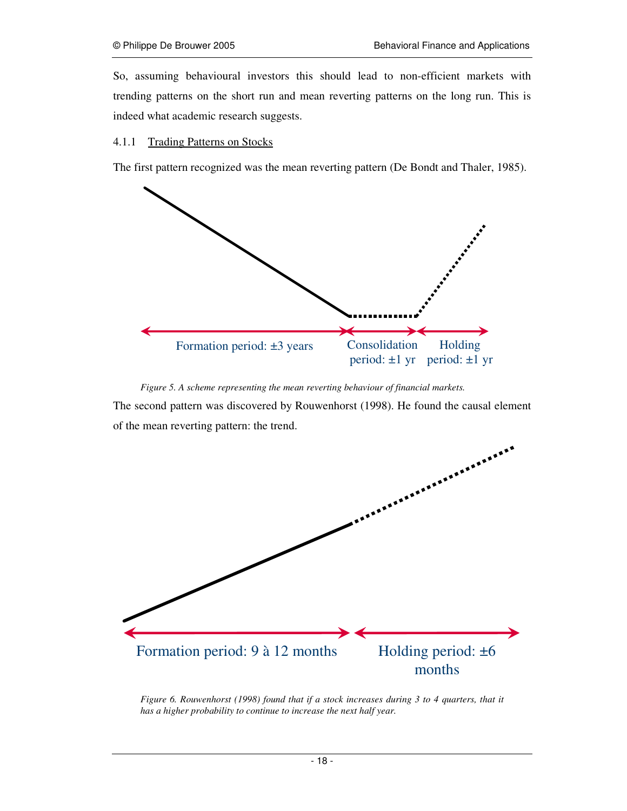So, assuming behavioural investors this should lead to non-efficient markets with trending patterns on the short run and mean reverting patterns on the long run. This is indeed what academic research suggests.

#### 4.1.1 Trading Patterns on Stocks

The first pattern recognized was the mean reverting pattern (De Bondt and Thaler, 1985).



*Figure 5. A scheme representing the mean reverting behaviour of financial markets.* 

The second pattern was discovered by Rouwenhorst (1998). He found the causal element of the mean reverting pattern: the trend.



*Figure 6. Rouwenhorst (1998) found that if a stock increases during 3 to 4 quarters, that it has a higher probability to continue to increase the next half year.*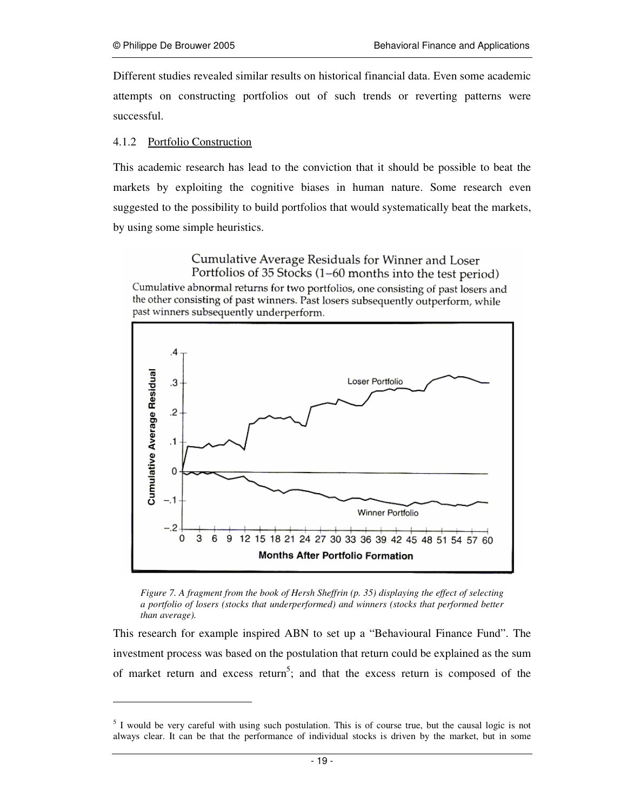Different studies revealed similar results on historical financial data. Even some academic attempts on constructing portfolios out of such trends or reverting patterns were successful.

# 4.1.2 Portfolio Construction

-

This academic research has lead to the conviction that it should be possible to beat the markets by exploiting the cognitive biases in human nature. Some research even suggested to the possibility to build portfolios that would systematically beat the markets, by using some simple heuristics.

Cumulative Average Residuals for Winner and Loser Portfolios of 35 Stocks (1-60 months into the test period) Cumulative abnormal returns for two portfolios, one consisting of past losers and the other consisting of past winners. Past losers subsequently outperform, while past winners subsequently underperform.



*Figure 7. A fragment from the book of Hersh Sheffrin (p. 35) displaying the effect of selecting a portfolio of losers (stocks that underperformed) and winners (stocks that performed better than average).* 

This research for example inspired ABN to set up a "Behavioural Finance Fund". The investment process was based on the postulation that return could be explained as the sum of market return and excess return<sup>5</sup>; and that the excess return is composed of the

<sup>&</sup>lt;sup>5</sup> I would be very careful with using such postulation. This is of course true, but the causal logic is not always clear. It can be that the performance of individual stocks is driven by the market, but in some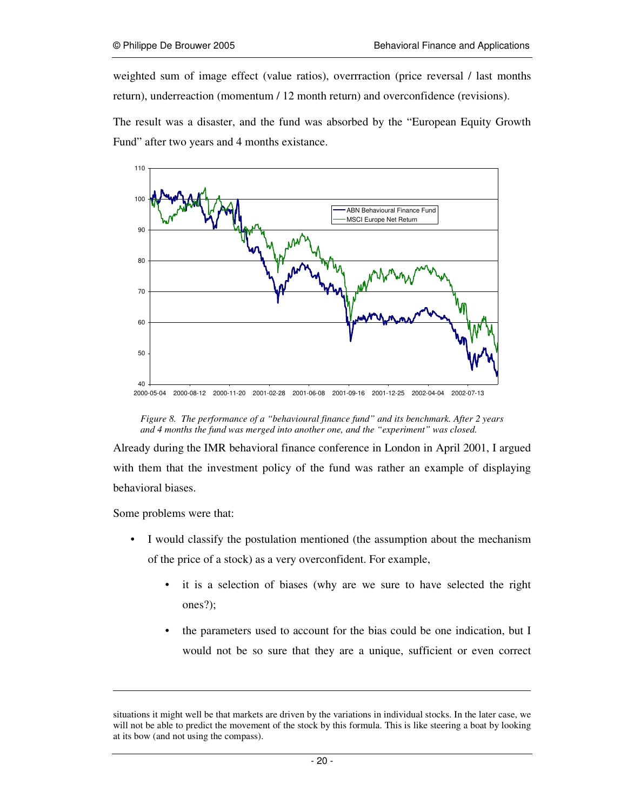weighted sum of image effect (value ratios), overrraction (price reversal / last months return), underreaction (momentum / 12 month return) and overconfidence (revisions).

The result was a disaster, and the fund was absorbed by the "European Equity Growth Fund" after two years and 4 months existance.



*Figure 8. The performance of a "behavioural finance fund" and its benchmark. After 2 years and 4 months the fund was merged into another one, and the "experiment" was closed.* 

Already during the IMR behavioral finance conference in London in April 2001, I argued with them that the investment policy of the fund was rather an example of displaying behavioral biases.

Some problems were that:

-

- I would classify the postulation mentioned (the assumption about the mechanism of the price of a stock) as a very overconfident. For example,
	- it is a selection of biases (why are we sure to have selected the right ones?);
	- the parameters used to account for the bias could be one indication, but I would not be so sure that they are a unique, sufficient or even correct

situations it might well be that markets are driven by the variations in individual stocks. In the later case, we will not be able to predict the movement of the stock by this formula. This is like steering a boat by looking at its bow (and not using the compass).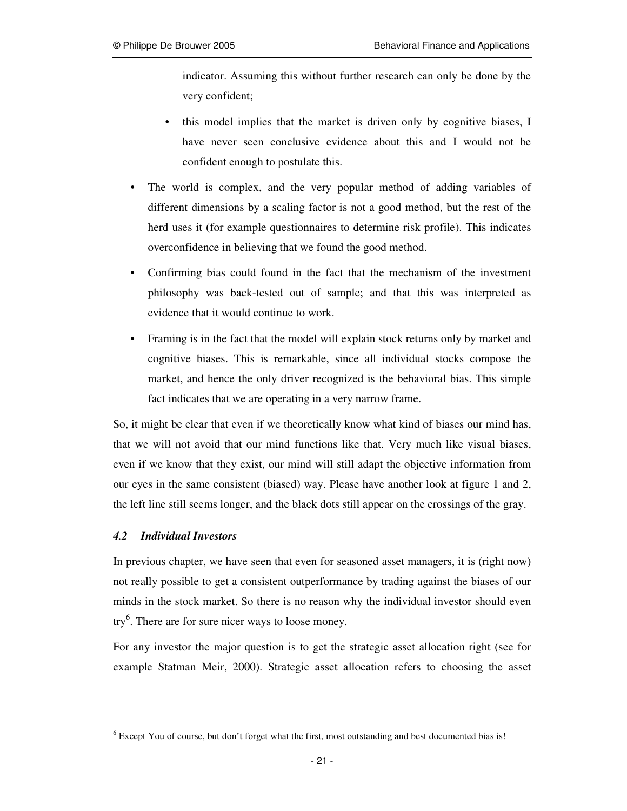indicator. Assuming this without further research can only be done by the very confident;

- this model implies that the market is driven only by cognitive biases, I have never seen conclusive evidence about this and I would not be confident enough to postulate this.
- The world is complex, and the very popular method of adding variables of different dimensions by a scaling factor is not a good method, but the rest of the herd uses it (for example questionnaires to determine risk profile). This indicates overconfidence in believing that we found the good method.
- Confirming bias could found in the fact that the mechanism of the investment philosophy was back-tested out of sample; and that this was interpreted as evidence that it would continue to work.
- Framing is in the fact that the model will explain stock returns only by market and cognitive biases. This is remarkable, since all individual stocks compose the market, and hence the only driver recognized is the behavioral bias. This simple fact indicates that we are operating in a very narrow frame.

So, it might be clear that even if we theoretically know what kind of biases our mind has, that we will not avoid that our mind functions like that. Very much like visual biases, even if we know that they exist, our mind will still adapt the objective information from our eyes in the same consistent (biased) way. Please have another look at figure 1 and 2, the left line still seems longer, and the black dots still appear on the crossings of the gray.

#### *4.2 Individual Investors*

-

In previous chapter, we have seen that even for seasoned asset managers, it is (right now) not really possible to get a consistent outperformance by trading against the biases of our minds in the stock market. So there is no reason why the individual investor should even try<sup>6</sup>. There are for sure nicer ways to loose money.

For any investor the major question is to get the strategic asset allocation right (see for example Statman Meir, 2000). Strategic asset allocation refers to choosing the asset

<sup>&</sup>lt;sup>6</sup> Except You of course, but don't forget what the first, most outstanding and best documented bias is!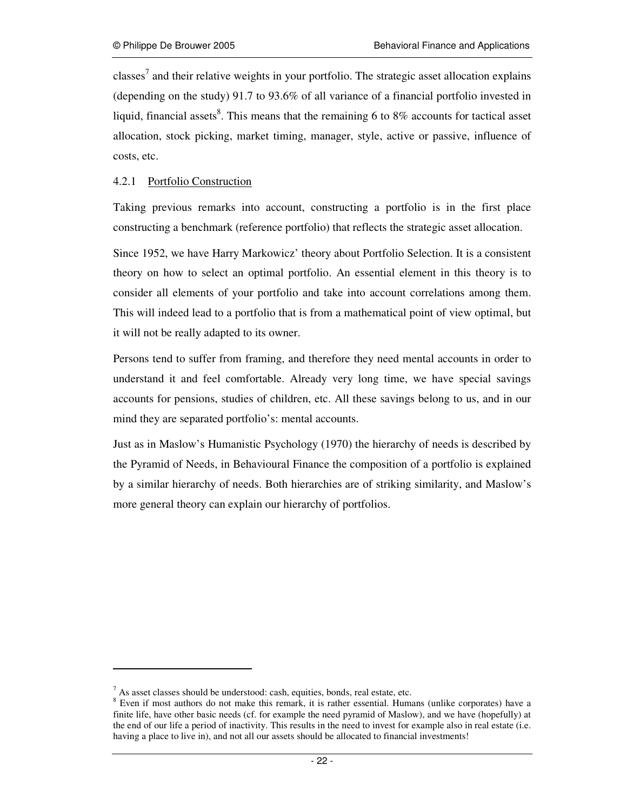classes<sup>7</sup> and their relative weights in your portfolio. The strategic asset allocation explains (depending on the study) 91.7 to 93.6% of all variance of a financial portfolio invested in liquid, financial assets<sup>8</sup>. This means that the remaining 6 to 8% accounts for tactical asset allocation, stock picking, market timing, manager, style, active or passive, influence of costs, etc.

## 4.2.1 Portfolio Construction

Taking previous remarks into account, constructing a portfolio is in the first place constructing a benchmark (reference portfolio) that reflects the strategic asset allocation.

Since 1952, we have Harry Markowicz' theory about Portfolio Selection. It is a consistent theory on how to select an optimal portfolio. An essential element in this theory is to consider all elements of your portfolio and take into account correlations among them. This will indeed lead to a portfolio that is from a mathematical point of view optimal, but it will not be really adapted to its owner.

Persons tend to suffer from framing, and therefore they need mental accounts in order to understand it and feel comfortable. Already very long time, we have special savings accounts for pensions, studies of children, etc. All these savings belong to us, and in our mind they are separated portfolio's: mental accounts.

Just as in Maslow's Humanistic Psychology (1970) the hierarchy of needs is described by the Pyramid of Needs, in Behavioural Finance the composition of a portfolio is explained by a similar hierarchy of needs. Both hierarchies are of striking similarity, and Maslow's more general theory can explain our hierarchy of portfolios.

-

 $<sup>7</sup>$  As asset classes should be understood: cash, equities, bonds, real estate, etc.</sup>

<sup>&</sup>lt;sup>8</sup> Even if most authors do not make this remark, it is rather essential. Humans (unlike corporates) have a finite life, have other basic needs (cf. for example the need pyramid of Maslow), and we have (hopefully) at the end of our life a period of inactivity. This results in the need to invest for example also in real estate (i.e. having a place to live in), and not all our assets should be allocated to financial investments!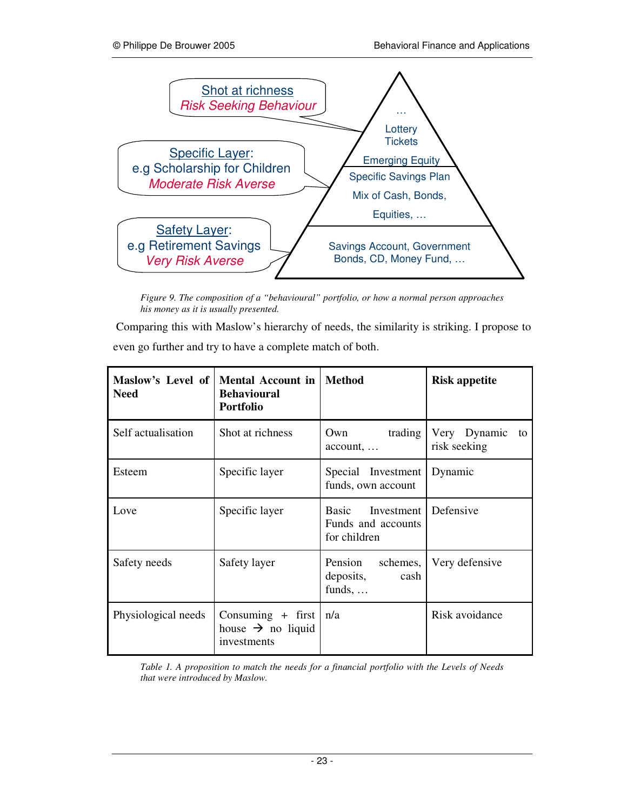

*Figure 9. The composition of a "behavioural" portfolio, or how a normal person approaches his money as it is usually presented.* 

 Comparing this with Maslow's hierarchy of needs, the similarity is striking. I propose to even go further and try to have a complete match of both.

| Maslow's Level of  <br><b>Need</b> | <b>Mental Account in</b><br><b>Behavioural</b><br><b>Portfolio</b>        | <b>Method</b>                                                      | <b>Risk appetite</b>               |
|------------------------------------|---------------------------------------------------------------------------|--------------------------------------------------------------------|------------------------------------|
| Self actualisation                 | Shot at richness                                                          | trading  <br>Own<br>$account, \ldots$                              | Very Dynamic<br>to<br>risk seeking |
| Esteem                             | Specific layer                                                            | Special Investment<br>funds, own account                           | Dynamic                            |
| Love                               | Specific layer                                                            | <b>Basic</b><br>Investment  <br>Funds and accounts<br>for children | Defensive                          |
| Safety needs                       | Safety layer                                                              | Pension<br>schemes,<br>deposits,<br>cash<br>funds, $\dots$         | Very defensive                     |
| Physiological needs                | Consuming $+$ first   n/a<br>house $\rightarrow$ no liquid<br>investments |                                                                    | Risk avoidance                     |

*Table 1. A proposition to match the needs for a financial portfolio with the Levels of Needs that were introduced by Maslow.*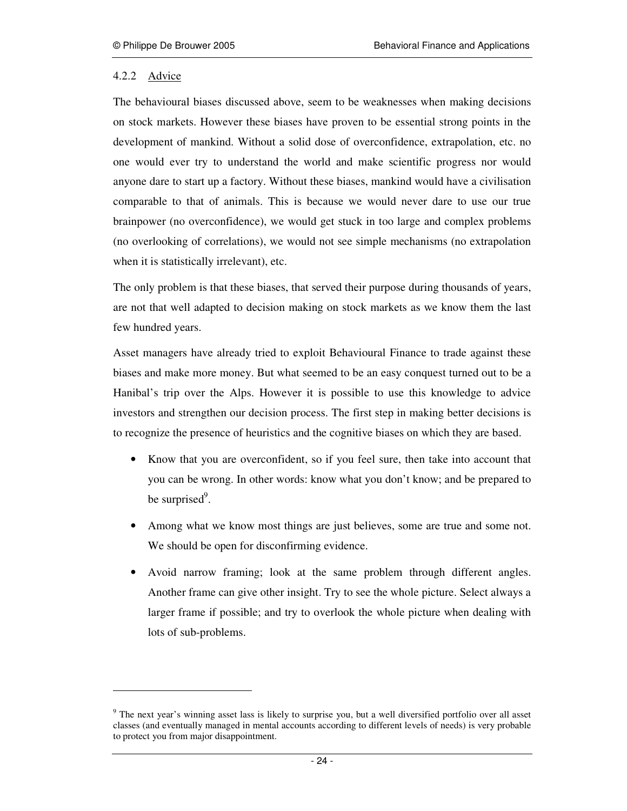## 4.2.2 Advice

-

The behavioural biases discussed above, seem to be weaknesses when making decisions on stock markets. However these biases have proven to be essential strong points in the development of mankind. Without a solid dose of overconfidence, extrapolation, etc. no one would ever try to understand the world and make scientific progress nor would anyone dare to start up a factory. Without these biases, mankind would have a civilisation comparable to that of animals. This is because we would never dare to use our true brainpower (no overconfidence), we would get stuck in too large and complex problems (no overlooking of correlations), we would not see simple mechanisms (no extrapolation when it is statistically irrelevant), etc.

The only problem is that these biases, that served their purpose during thousands of years, are not that well adapted to decision making on stock markets as we know them the last few hundred years.

Asset managers have already tried to exploit Behavioural Finance to trade against these biases and make more money. But what seemed to be an easy conquest turned out to be a Hanibal's trip over the Alps. However it is possible to use this knowledge to advice investors and strengthen our decision process. The first step in making better decisions is to recognize the presence of heuristics and the cognitive biases on which they are based.

- Know that you are overconfident, so if you feel sure, then take into account that you can be wrong. In other words: know what you don't know; and be prepared to be surprised<sup>9</sup>.
- Among what we know most things are just believes, some are true and some not. We should be open for disconfirming evidence.
- Avoid narrow framing; look at the same problem through different angles. Another frame can give other insight. Try to see the whole picture. Select always a larger frame if possible; and try to overlook the whole picture when dealing with lots of sub-problems.

<sup>&</sup>lt;sup>9</sup> The next year's winning asset lass is likely to surprise you, but a well diversified portfolio over all asset classes (and eventually managed in mental accounts according to different levels of needs) is very probable to protect you from major disappointment.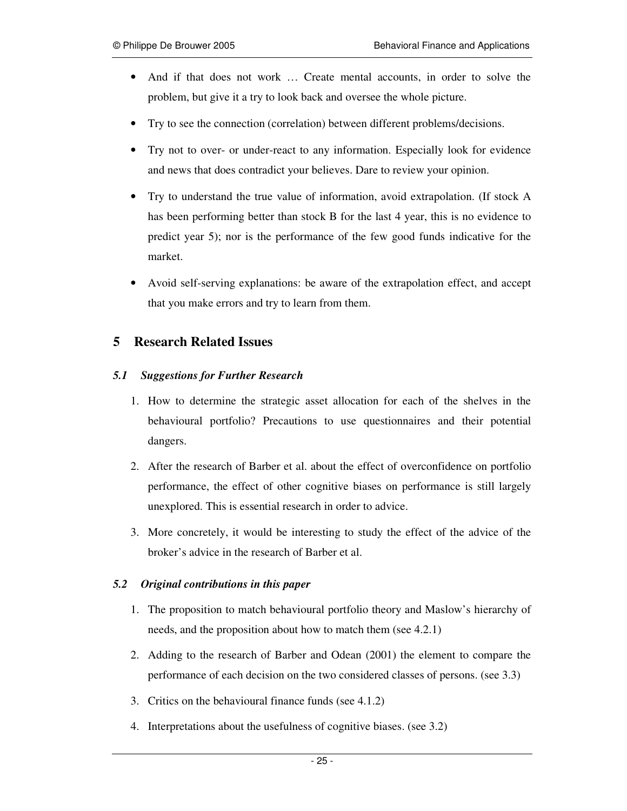- And if that does not work ... Create mental accounts, in order to solve the problem, but give it a try to look back and oversee the whole picture.
- Try to see the connection (correlation) between different problems/decisions.
- Try not to over- or under-react to any information. Especially look for evidence and news that does contradict your believes. Dare to review your opinion.
- Try to understand the true value of information, avoid extrapolation. (If stock A has been performing better than stock B for the last 4 year, this is no evidence to predict year 5); nor is the performance of the few good funds indicative for the market.
- Avoid self-serving explanations: be aware of the extrapolation effect, and accept that you make errors and try to learn from them.

# **5 Research Related Issues**

#### *5.1 Suggestions for Further Research*

- 1. How to determine the strategic asset allocation for each of the shelves in the behavioural portfolio? Precautions to use questionnaires and their potential dangers.
- 2. After the research of Barber et al. about the effect of overconfidence on portfolio performance, the effect of other cognitive biases on performance is still largely unexplored. This is essential research in order to advice.
- 3. More concretely, it would be interesting to study the effect of the advice of the broker's advice in the research of Barber et al.

#### *5.2 Original contributions in this paper*

- 1. The proposition to match behavioural portfolio theory and Maslow's hierarchy of needs, and the proposition about how to match them (see 4.2.1)
- 2. Adding to the research of Barber and Odean (2001) the element to compare the performance of each decision on the two considered classes of persons. (see 3.3)
- 3. Critics on the behavioural finance funds (see 4.1.2)
- 4. Interpretations about the usefulness of cognitive biases. (see 3.2)